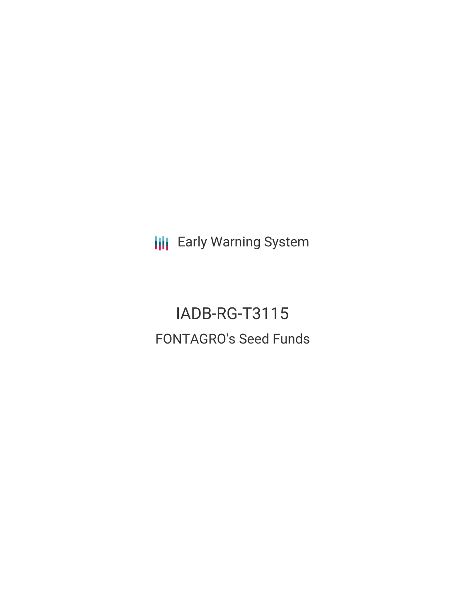**III** Early Warning System

IADB-RG-T3115 FONTAGRO's Seed Funds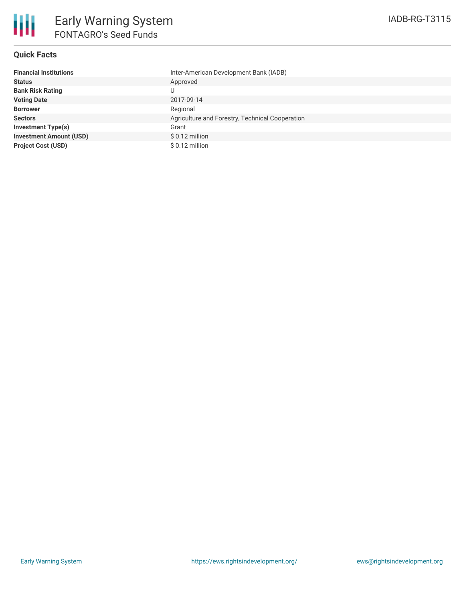

### **Quick Facts**

| <b>Financial Institutions</b>  | Inter-American Development Bank (IADB)          |
|--------------------------------|-------------------------------------------------|
| <b>Status</b>                  | Approved                                        |
| <b>Bank Risk Rating</b>        |                                                 |
| <b>Voting Date</b>             | 2017-09-14                                      |
| <b>Borrower</b>                | Regional                                        |
| <b>Sectors</b>                 | Agriculture and Forestry, Technical Cooperation |
| Investment Type(s)             | Grant                                           |
| <b>Investment Amount (USD)</b> | $$0.12$ million                                 |
| <b>Project Cost (USD)</b>      | $$0.12$ million                                 |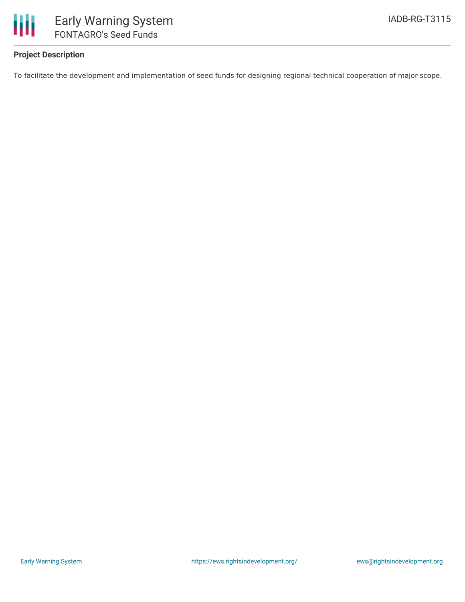

# **Project Description**

To facilitate the development and implementation of seed funds for designing regional technical cooperation of major scope.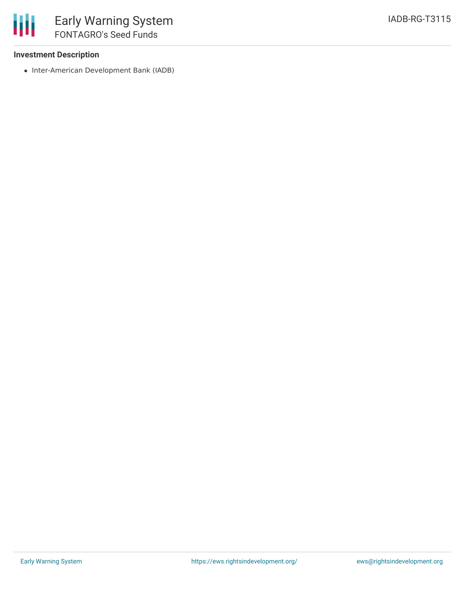## **Investment Description**

• Inter-American Development Bank (IADB)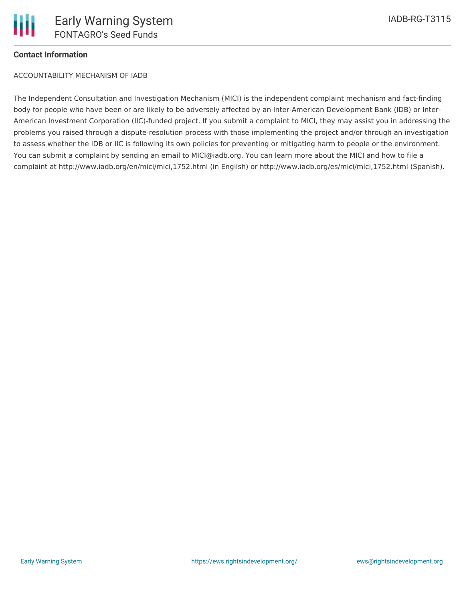# **Contact Information**

ACCOUNTABILITY MECHANISM OF IADB

The Independent Consultation and Investigation Mechanism (MICI) is the independent complaint mechanism and fact-finding body for people who have been or are likely to be adversely affected by an Inter-American Development Bank (IDB) or Inter-American Investment Corporation (IIC)-funded project. If you submit a complaint to MICI, they may assist you in addressing the problems you raised through a dispute-resolution process with those implementing the project and/or through an investigation to assess whether the IDB or IIC is following its own policies for preventing or mitigating harm to people or the environment. You can submit a complaint by sending an email to MICI@iadb.org. You can learn more about the MICI and how to file a complaint at http://www.iadb.org/en/mici/mici,1752.html (in English) or http://www.iadb.org/es/mici/mici,1752.html (Spanish).